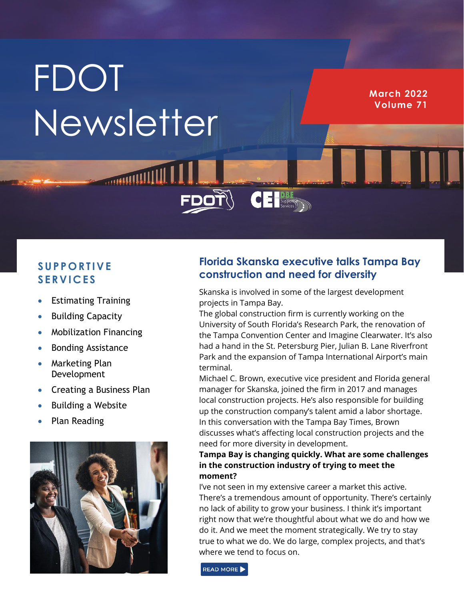# **FDOT** Newsletter

**MANIFESTIVE** 

**March 2022 Volume 71**

## **S U P P O R T I V E S E R V I C E S**

- Estimating Training
- Building Capacity
- Mobilization Financing
- Bonding Assistance
- Marketing Plan Development
- Creating a Business Plan
- Building a Website
- Plan Reading



# **Florida Skanska executive talks Tampa Bay construction and need for diversity**

Skanska is involved in some of the largest development projects in Tampa Bay.

**CE Supportive** 

The global construction firm is currently working on the University of South Florida's Research Park, the renovation of the Tampa Convention Center and Imagine Clearwater. It's also had a hand in the St. Petersburg Pier, Julian B. Lane Riverfront Park and the expansion of Tampa International Airport's main terminal.

Michael C. Brown, executive vice president and Florida general manager for Skanska, joined the firm in 2017 and manages local construction projects. He's also responsible for building up the construction company's talent amid a labor shortage. In this conversation with the Tampa Bay Times, Brown discusses what's affecting local construction projects and the need for more diversity in development.

### **Tampa Bay is changing quickly. What are some challenges in the construction industry of trying to meet the moment?**

I've not seen in my extensive career a market this active. There's a tremendous amount of opportunity. There's certainly no lack of ability to grow your business. I think it's important right now that we're thoughtful about what we do and how we do it. And we meet the moment strategically. We try to stay true to what we do. We do large, complex projects, and that's where we tend to focus on.

READ MORE